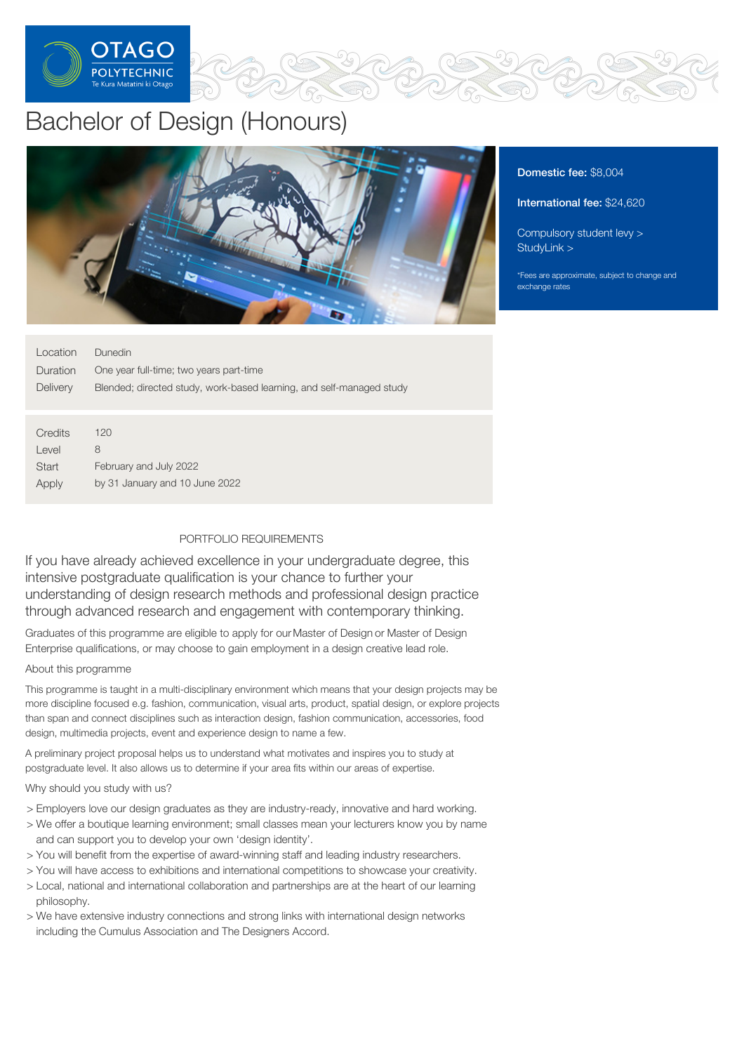

# Bachelor of Design (Honours)



# Domestic fee: \$8,004

International fee: \$24,620

[Compulsory](https://online.op.ac.nz/students/important-information/student-services-levy/) student levy > [StudyLink](https://www.studylink.govt.nz/) >

\*Fees are approximate, subject to change and exchange rates

| Location | Dunedin                                                              |
|----------|----------------------------------------------------------------------|
| Duration | One year full-time; two years part-time                              |
| Delivery | Blended; directed study, work-based learning, and self-managed study |
|          |                                                                      |
|          |                                                                      |
| Credits  | 120                                                                  |
| Level    | 8                                                                    |
| Start    | February and July 2022                                               |
| Apply    | by 31 January and 10 June 2022                                       |
|          |                                                                      |

# PORTFOLIO REQUIREMENTS

If you have already achieved excellence in your undergraduate degree, this intensive postgraduate qualification is your chance to further your understanding of design research methods and professional design practice through advanced research and engagement with contemporary thinking.

Graduates of this programme are eligible to apply for ourMaster of Design or Master of Design Enterprise qualifications, or may choose to gain employment in a design creative lead role.

#### About this programme

This programme is taught in a multi-disciplinary environment which means that your design projects may be more discipline focused e.g. fashion, communication, visual arts, product, spatial design, or explore projects than span and connect disciplines such as interaction design, fashion communication, accessories, food design, multimedia projects, event and experience design to name a few.

A preliminary project proposal helps us to understand what motivates and inspires you to study at postgraduate level. It also allows us to determine if your area fits within our areas of expertise.

## Why should you study with us?

- > Employers love our design graduates as they are industry-ready, innovative and hard working.
- > We offer a boutique learning environment; small classes mean your lecturers know you by name and can support you to develop your own 'design identity'.
- > You will benefit from the expertise of award-winning staff and leading industry researchers.
- > You will have access to exhibitions and international competitions to showcase your creativity.
- > Local, national and international collaboration and partnerships are at the heart of our learning philosophy.
- > We have extensive industry connections and strong links with international design networks including the Cumulus Association and The Designers Accord.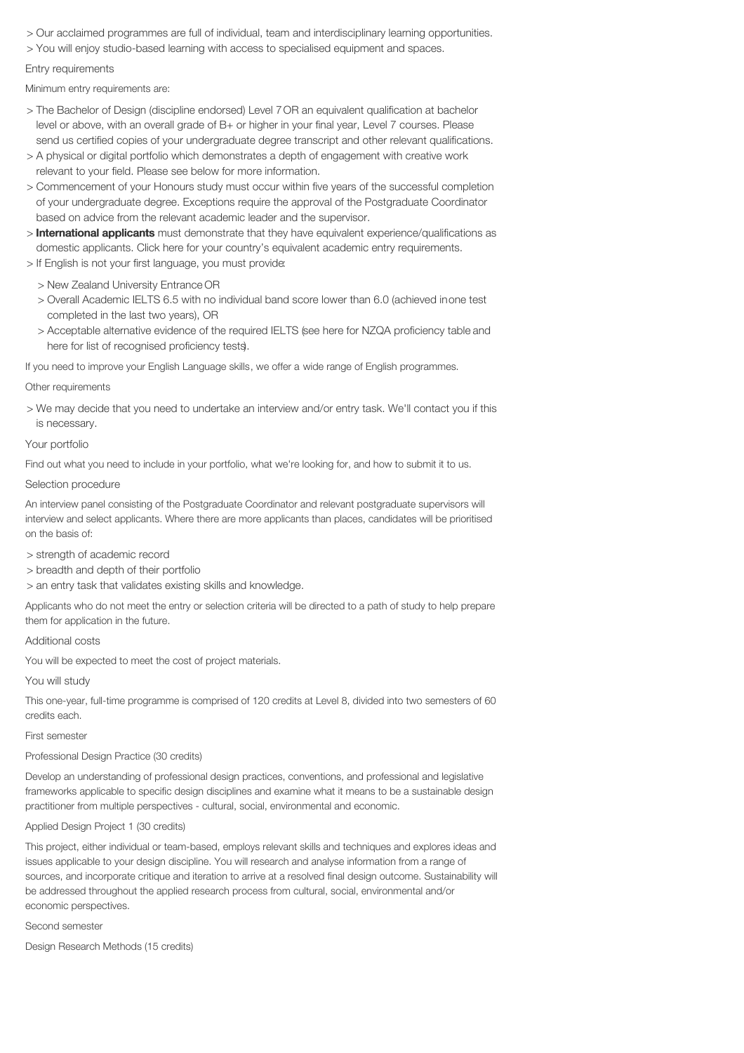- > Our acclaimed programmes are full of individual, team and interdisciplinary learning opportunities.
- > You will enjoy studio-based learning with access to specialised equipment and spaces.

#### Entry requirements

Minimum entry requirements are:

- > The Bachelor of Design (discipline endorsed) Level 7OR an equivalent qualification at bachelor level or above, with an overall grade of B+ or higher in your final year, Level 7 courses. Please send us certified copies of your undergraduate degree transcript and other relevant qualifications.
- > A physical or digital portfolio which demonstrates a depth of engagement with creative work relevant to your field. Please see below for more information.
- > Commencement of your Honours study must occur within five years of the successful completion of your undergraduate degree. Exceptions require the approval of the Postgraduate Coordinator based on advice from the relevant academic leader and the supervisor.
- > International applicants must demonstrate that they have equivalent experience/qualifications as domestic applicants. Click here for your country's equivalent academic entry requirements.
- > If English is not your first language, you must provide:
	- > New Zealand University Entrance OR
	- > Overall Academic IELTS 6.5 with no individual band score lower than 6.0 (achieved inone test completed in the last two years), OR
	- > Acceptable alternative evidence of the required IELTS (see here for NZQA proficiency table and here for list of recognised proficiency tests).

If you need to improve your English Language skills, we offer a wide range of English programmes.

#### Other requirements

> We may decide that you need to undertake an interview and/or entry task. We'll contact you if this is necessary.

## Your portfolio

Find out what you need to include in your portfolio, what we're looking for, and how to submit it to us.

#### Selection procedure

An interview panel consisting of the Postgraduate Coordinator and relevant postgraduate supervisors will interview and select applicants. Where there are more applicants than places, candidates will be prioritised on the basis of:

> strength of academic record

> breadth and depth of their portfolio

> an entry task that validates existing skills and knowledge.

Applicants who do not meet the entry or selection criteria will be directed to a path of study to help prepare them for application in the future.

#### Additional costs

You will be expected to meet the cost of project materials.

You will study

This one-year, full-time programme is comprised of 120 credits at Level 8, divided into two semesters of 60 credits each.

#### First semester

#### Professional Design Practice (30 credits)

Develop an understanding of professional design practices, conventions, and professional and legislative frameworks applicable to specific design disciplines and examine what it means to be a sustainable design practitioner from multiple perspectives - cultural, social, environmental and economic.

#### Applied Design Project 1 (30 credits)

This project, either individual or team-based, employs relevant skills and techniques and explores ideas and issues applicable to your design discipline. You will research and analyse information from a range of sources, and incorporate critique and iteration to arrive at a resolved final design outcome. Sustainability will be addressed throughout the applied research process from cultural, social, environmental and/or economic perspectives.

#### Second semester

Design Research Methods (15 credits)